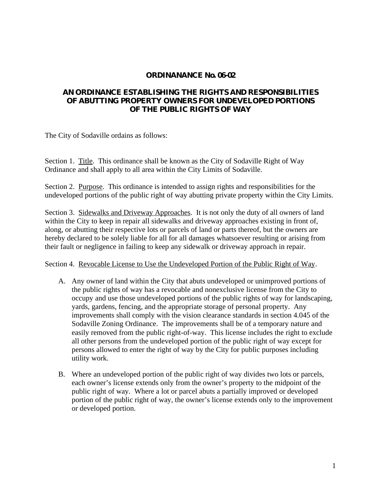## **ORDINANANCE No. 06-02**

## **AN ORDINANCE ESTABLISHING THE RIGHTS AND RESPONSIBILITIES OF ABUTTING PROPERTY OWNERS FOR UNDEVELOPED PORTIONS OF THE PUBLIC RIGHTS OF WAY**

The City of Sodaville ordains as follows:

Section 1. Title. This ordinance shall be known as the City of Sodaville Right of Way Ordinance and shall apply to all area within the City Limits of Sodaville.

Section 2. Purpose. This ordinance is intended to assign rights and responsibilities for the undeveloped portions of the public right of way abutting private property within the City Limits.

Section 3. Sidewalks and Driveway Approaches. It is not only the duty of all owners of land within the City to keep in repair all sidewalks and driveway approaches existing in front of, along, or abutting their respective lots or parcels of land or parts thereof, but the owners are hereby declared to be solely liable for all for all damages whatsoever resulting or arising from their fault or negligence in failing to keep any sidewalk or driveway approach in repair.

Section 4. Revocable License to Use the Undeveloped Portion of the Public Right of Way.

- A. Any owner of land within the City that abuts undeveloped or unimproved portions of the public rights of way has a revocable and nonexclusive license from the City to occupy and use those undeveloped portions of the public rights of way for landscaping, yards, gardens, fencing, and the appropriate storage of personal property. Any improvements shall comply with the vision clearance standards in section 4.045 of the Sodaville Zoning Ordinance. The improvements shall be of a temporary nature and easily removed from the public right-of-way. This license includes the right to exclude all other persons from the undeveloped portion of the public right of way except for persons allowed to enter the right of way by the City for public purposes including utility work.
- B. Where an undeveloped portion of the public right of way divides two lots or parcels, each owner's license extends only from the owner's property to the midpoint of the public right of way. Where a lot or parcel abuts a partially improved or developed portion of the public right of way, the owner's license extends only to the improvement or developed portion.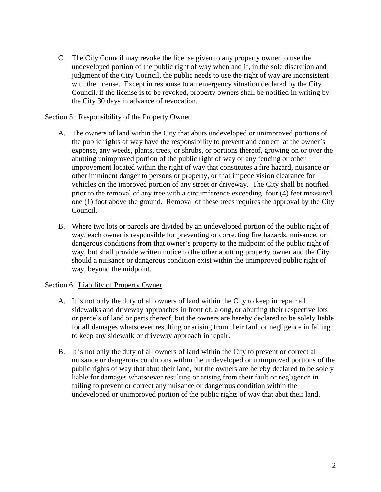C. The City Council may revoke the license given to any property owner to use the undeveloped portion of the public right of way when and if, in the sole discretion and judgment of the City Council, the public needs to use the right of way are inconsistent with the license. Except in response to an emergency situation declared by the City Council, if the license is to be revoked, property owners shall be notified in writing by the City 30 days in advance of revocation.

## Section 5. Responsibility of the Property Owner.

- A. The owners of land within the City that abuts undeveloped or unimproved portions of the public rights of way have the responsibility to prevent and correct, at the owner's expense, any weeds, plants, trees, or shrubs, or portions thereof, growing on or over the abutting unimproved portion of the public right of way or any fencing or other improvement located within the right of way that constitutes a fire hazard, nuisance or other imminent danger to persons or property, or that impede vision clearance for vehicles on the improved portion of any street or driveway. The City shall be notified prior to the removal of any tree with a circumference exceeding four (4) feet measured one (1) foot above the ground. Removal of these trees requires the approval by the City Council.
- B. Where two lots or parcels are divided by an undeveloped portion of the public right of way, each owner is responsible for preventing or correcting fire hazards, nuisance, or dangerous conditions from that owner's property to the midpoint of the public right of way, but shall provide written notice to the other abutting property owner and the City should a nuisance or dangerous condition exist within the unimproved public right of way, beyond the midpoint.

## Section 6. Liability of Property Owner.

- A. It is not only the duty of all owners of land within the City to keep in repair all sidewalks and driveway approaches in front of, along, or abutting their respective lots or parcels of land or parts thereof, but the owners are hereby declared to be solely liable for all damages whatsoever resulting or arising from their fault or negligence in failing to keep any sidewalk or driveway approach in repair.
- B. It is not only the duty of all owners of land within the City to prevent or correct all nuisance or dangerous conditions within the undeveloped or unimproved portions of the public rights of way that abut their land, but the owners are hereby declared to be solely liable for damages whatsoever resulting or arising from their fault or negligence in failing to prevent or correct any nuisance or dangerous condition within the undeveloped or unimproved portion of the public rights of way that abut their land.